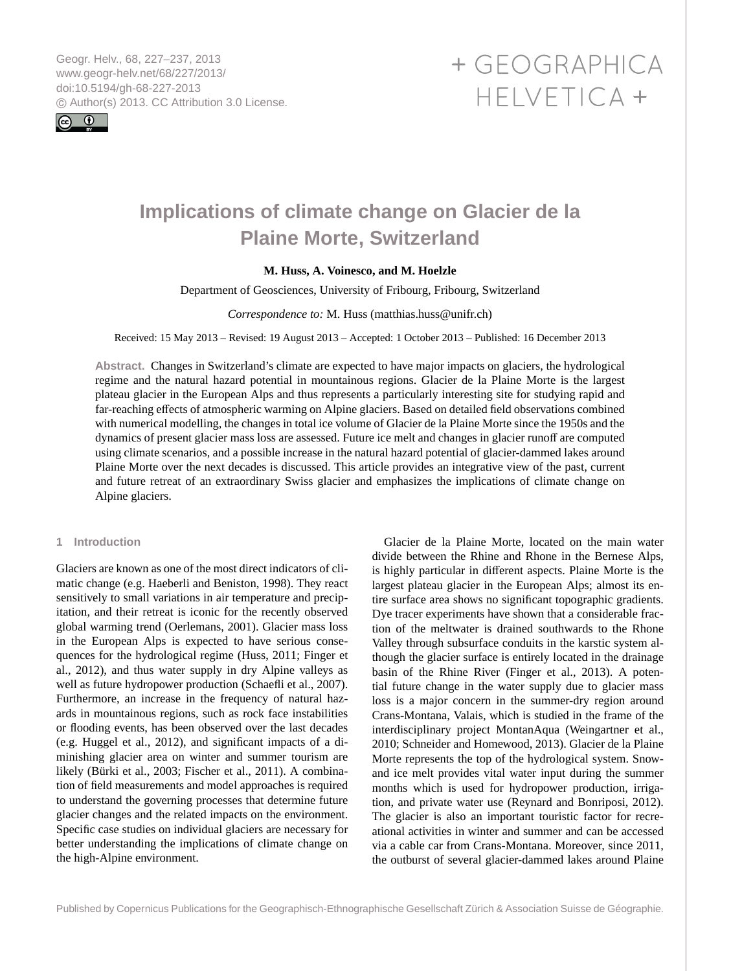<span id="page-0-0"></span>Geogr. Helv., 68, 227–237, 2013 www.geogr-helv.net/68/227/2013/ doi:10.5194/gh-68-227-2013 © Author(s) 2013. CC Attribution 3.0 License.



# + GEOGRAPHICA HELVETICA +

# **Implications of climate change on Glacier de la Plaine Morte, Switzerland**

# **M. Huss, A. Voinesco, and M. Hoelzle**

Department of Geosciences, University of Fribourg, Fribourg, Switzerland

# *Correspondence to:* M. Huss (matthias.huss@unifr.ch)

Received: 15 May 2013 – Revised: 19 August 2013 – Accepted: 1 October 2013 – Published: 16 December 2013

**Abstract.** Changes in Switzerland's climate are expected to have major impacts on glaciers, the hydrological regime and the natural hazard potential in mountainous regions. Glacier de la Plaine Morte is the largest plateau glacier in the European Alps and thus represents a particularly interesting site for studying rapid and far-reaching effects of atmospheric warming on Alpine glaciers. Based on detailed field observations combined with numerical modelling, the changes in total ice volume of Glacier de la Plaine Morte since the 1950s and the dynamics of present glacier mass loss are assessed. Future ice melt and changes in glacier runoff are computed using climate scenarios, and a possible increase in the natural hazard potential of glacier-dammed lakes around Plaine Morte over the next decades is discussed. This article provides an integrative view of the past, current and future retreat of an extraordinary Swiss glacier and emphasizes the implications of climate change on Alpine glaciers.

#### **1 Introduction**

Glaciers are known as one of the most direct indicators of climatic change (e.g. [Haeberli and Beniston,](#page-9-0) [1998\)](#page-9-0). They react sensitively to small variations in air temperature and precipitation, and their retreat is iconic for the recently observed global warming trend [\(Oerlemans,](#page-9-1) [2001\)](#page-9-1). Glacier mass loss in the European Alps is expected to have serious consequences for the hydrological regime [\(Huss,](#page-9-2) [2011;](#page-9-2) [Finger et](#page-9-3) [al.,](#page-9-3) [2012\)](#page-9-3), and thus water supply in dry Alpine valleys as well as future hydropower production [\(Schaefli et al.,](#page-9-4) [2007\)](#page-9-4). Furthermore, an increase in the frequency of natural hazards in mountainous regions, such as rock face instabilities or flooding events, has been observed over the last decades (e.g. [Huggel et al.,](#page-9-5) [2012\)](#page-9-5), and significant impacts of a diminishing glacier area on winter and summer tourism are likely [\(Bürki et al.,](#page-9-6) [2003;](#page-9-6) [Fischer et al.,](#page-9-7) [2011\)](#page-9-7). A combination of field measurements and model approaches is required to understand the governing processes that determine future glacier changes and the related impacts on the environment. Specific case studies on individual glaciers are necessary for better understanding the implications of climate change on the high-Alpine environment.

Glacier de la Plaine Morte, located on the main water divide between the Rhine and Rhone in the Bernese Alps, is highly particular in different aspects. Plaine Morte is the largest plateau glacier in the European Alps; almost its entire surface area shows no significant topographic gradients. Dye tracer experiments have shown that a considerable fraction of the meltwater is drained southwards to the Rhone Valley through subsurface conduits in the karstic system although the glacier surface is entirely located in the drainage basin of the Rhine River [\(Finger et al.,](#page-9-8) [2013\)](#page-9-8). A potential future change in the water supply due to glacier mass loss is a major concern in the summer-dry region around Crans-Montana, Valais, which is studied in the frame of the interdisciplinary project MontanAqua [\(Weingartner et al.,](#page-10-0) [2010;](#page-10-0) [Schneider and Homewood,](#page-9-9) [2013\)](#page-9-9). Glacier de la Plaine Morte represents the top of the hydrological system. Snowand ice melt provides vital water input during the summer months which is used for hydropower production, irrigation, and private water use [\(Reynard and Bonriposi,](#page-9-10) [2012\)](#page-9-10). The glacier is also an important touristic factor for recreational activities in winter and summer and can be accessed via a cable car from Crans-Montana. Moreover, since 2011, the outburst of several glacier-dammed lakes around Plaine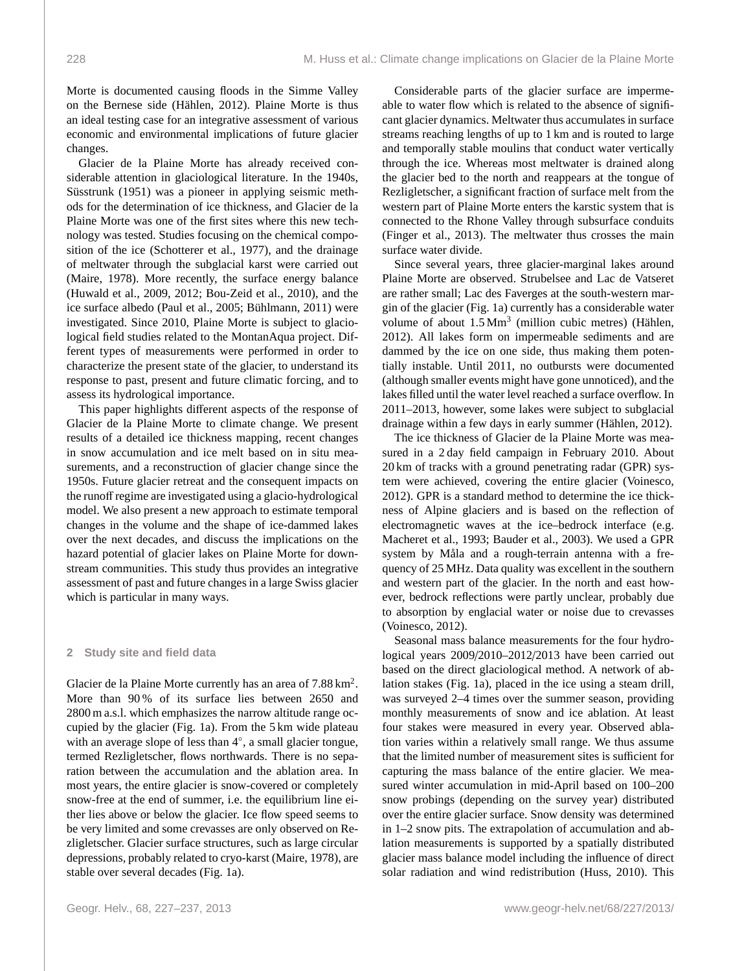Morte is documented causing floods in the Simme Valley on the Bernese side [\(Hählen,](#page-9-11) [2012\)](#page-9-11). Plaine Morte is thus an ideal testing case for an integrative assessment of various economic and environmental implications of future glacier changes.

Glacier de la Plaine Morte has already received considerable attention in glaciological literature. In the 1940s, [Süsstrunk](#page-9-12) [\(1951\)](#page-9-12) was a pioneer in applying seismic methods for the determination of ice thickness, and Glacier de la Plaine Morte was one of the first sites where this new technology was tested. Studies focusing on the chemical composition of the ice [\(Schotterer et al.,](#page-9-13) [1977\)](#page-9-13), and the drainage of meltwater through the subglacial karst were carried out [\(Maire,](#page-9-14) [1978\)](#page-9-14). More recently, the surface energy balance [\(Huwald et al.,](#page-9-15) [2009,](#page-9-15) [2012;](#page-9-16) [Bou-Zeid et al.,](#page-8-0) [2010\)](#page-8-0), and the ice surface albedo [\(Paul et al.,](#page-9-17) [2005;](#page-9-17) [Bühlmann,](#page-9-18) [2011\)](#page-9-18) were investigated. Since 2010, Plaine Morte is subject to glaciological field studies related to the MontanAqua project. Different types of measurements were performed in order to characterize the present state of the glacier, to understand its response to past, present and future climatic forcing, and to assess its hydrological importance.

This paper highlights different aspects of the response of Glacier de la Plaine Morte to climate change. We present results of a detailed ice thickness mapping, recent changes in snow accumulation and ice melt based on in situ measurements, and a reconstruction of glacier change since the 1950s. Future glacier retreat and the consequent impacts on the runoff regime are investigated using a glacio-hydrological model. We also present a new approach to estimate temporal changes in the volume and the shape of ice-dammed lakes over the next decades, and discuss the implications on the hazard potential of glacier lakes on Plaine Morte for downstream communities. This study thus provides an integrative assessment of past and future changes in a large Swiss glacier which is particular in many ways.

#### **2 Study site and field data**

Glacier de la Plaine Morte currently has an area of  $7.88 \text{ km}^2$ . More than 90% of its surface lies between 2650 and 2800 m a.s.l. which emphasizes the narrow altitude range occupied by the glacier (Fig. [1a](#page-2-0)). From the 5 km wide plateau with an average slope of less than 4°, a small glacier tongue, termed Rezligletscher, flows northwards. There is no separation between the accumulation and the ablation area. In most years, the entire glacier is snow-covered or completely snow-free at the end of summer, i.e. the equilibrium line either lies above or below the glacier. Ice flow speed seems to be very limited and some crevasses are only observed on Rezligletscher. Glacier surface structures, such as large circular depressions, probably related to cryo-karst [\(Maire,](#page-9-14) [1978\)](#page-9-14), are stable over several decades (Fig. [1a](#page-2-0)).

Considerable parts of the glacier surface are impermeable to water flow which is related to the absence of significant glacier dynamics. Meltwater thus accumulates in surface streams reaching lengths of up to 1 km and is routed to large and temporally stable moulins that conduct water vertically through the ice. Whereas most meltwater is drained along the glacier bed to the north and reappears at the tongue of Rezligletscher, a significant fraction of surface melt from the western part of Plaine Morte enters the karstic system that is connected to the Rhone Valley through subsurface conduits [\(Finger et al.,](#page-9-8) [2013\)](#page-9-8). The meltwater thus crosses the main surface water divide.

Since several years, three glacier-marginal lakes around Plaine Morte are observed. Strubelsee and Lac de Vatseret are rather small; Lac des Faverges at the south-western margin of the glacier (Fig. [1a](#page-2-0)) currently has a considerable water volume of about  $1.5 \text{ Mm}^3$  (million cubic metres) [\(Hählen,](#page-9-11) [2012\)](#page-9-11). All lakes form on impermeable sediments and are dammed by the ice on one side, thus making them potentially instable. Until 2011, no outbursts were documented (although smaller events might have gone unnoticed), and the lakes filled until the water level reached a surface overflow. In 2011–2013, however, some lakes were subject to subglacial drainage within a few days in early summer [\(Hählen,](#page-9-11) [2012\)](#page-9-11).

The ice thickness of Glacier de la Plaine Morte was measured in a 2 day field campaign in February 2010. About 20 km of tracks with a ground penetrating radar (GPR) system were achieved, covering the entire glacier [\(Voinesco,](#page-10-1) [2012\)](#page-10-1). GPR is a standard method to determine the ice thickness of Alpine glaciers and is based on the reflection of electromagnetic waves at the ice–bedrock interface (e.g. [Macheret et al.,](#page-9-19) [1993;](#page-9-19) [Bauder et al.,](#page-8-1) [2003\)](#page-8-1). We used a GPR system by Måla and a rough-terrain antenna with a frequency of 25 MHz. Data quality was excellent in the southern and western part of the glacier. In the north and east however, bedrock reflections were partly unclear, probably due to absorption by englacial water or noise due to crevasses [\(Voinesco,](#page-10-1) [2012\)](#page-10-1).

Seasonal mass balance measurements for the four hydrological years 2009/2010–2012/2013 have been carried out based on the direct glaciological method. A network of ablation stakes (Fig. [1a](#page-2-0)), placed in the ice using a steam drill, was surveyed 2–4 times over the summer season, providing monthly measurements of snow and ice ablation. At least four stakes were measured in every year. Observed ablation varies within a relatively small range. We thus assume that the limited number of measurement sites is sufficient for capturing the mass balance of the entire glacier. We measured winter accumulation in mid-April based on 100–200 snow probings (depending on the survey year) distributed over the entire glacier surface. Snow density was determined in 1–2 snow pits. The extrapolation of accumulation and ablation measurements is supported by a spatially distributed glacier mass balance model including the influence of direct solar radiation and wind redistribution [\(Huss,](#page-9-20) [2010\)](#page-9-20). This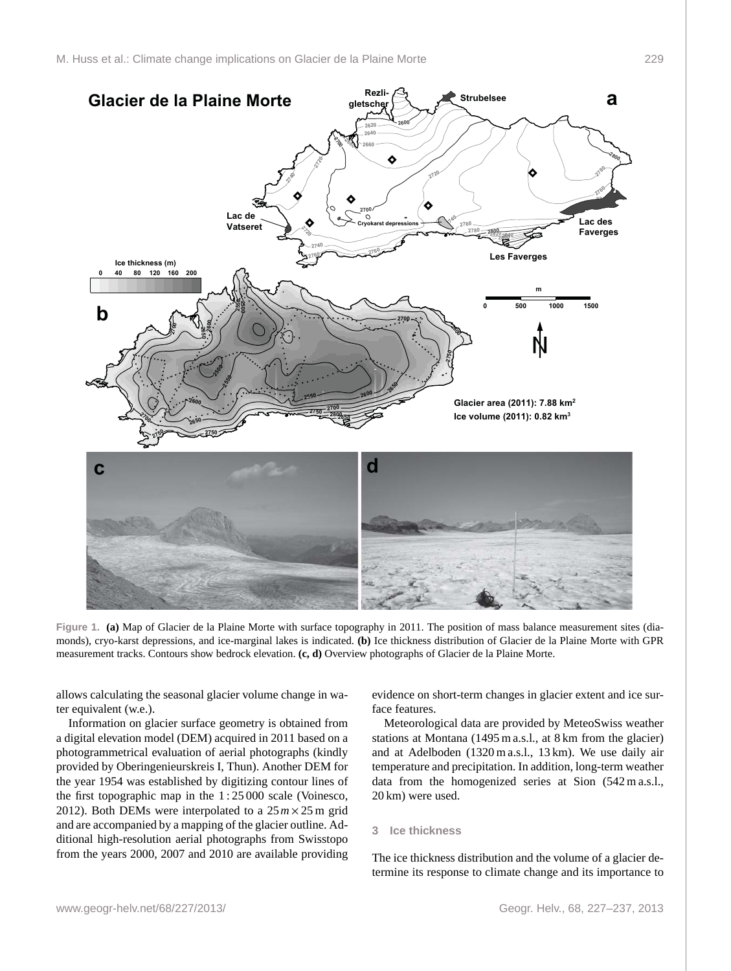

<span id="page-2-0"></span>**Figure 1. (a)** Map of Glacier de la Plaine Morte with surface topography in 2011. The position of mass balance measurement sites (diamonds), cryo-karst depressions, and ice-marginal lakes is indicated. **(b)** Ice thickness distribution of Glacier de la Plaine Morte with GPR measurement tracks. Contours show bedrock elevation. **(c, d)** Overview photographs of Glacier de la Plaine Morte.

allows calculating the seasonal glacier volume change in water equivalent (w.e.).

Information on glacier surface geometry is obtained from a digital elevation model (DEM) acquired in 2011 based on a photogrammetrical evaluation of aerial photographs (kindly provided by Oberingenieurskreis I, Thun). Another DEM for the year 1954 was established by digitizing contour lines of the first topographic map in the 1 : 25 000 scale [\(Voinesco,](#page-10-1) [2012\)](#page-10-1). Both DEMs were interpolated to a  $25m \times 25m$  grid and are accompanied by a mapping of the glacier outline. Additional high-resolution aerial photographs from Swisstopo from the years 2000, 2007 and 2010 are available providing

evidence on short-term changes in glacier extent and ice surface features.

Meteorological data are provided by MeteoSwiss weather stations at Montana (1495 m a.s.l., at 8 km from the glacier) and at Adelboden (1320 m a.s.l., 13 km). We use daily air temperature and precipitation. In addition, long-term weather data from the homogenized series at Sion (542 m a.s.l., 20 km) were used.

#### **3 Ice thickness**

The ice thickness distribution and the volume of a glacier determine its response to climate change and its importance to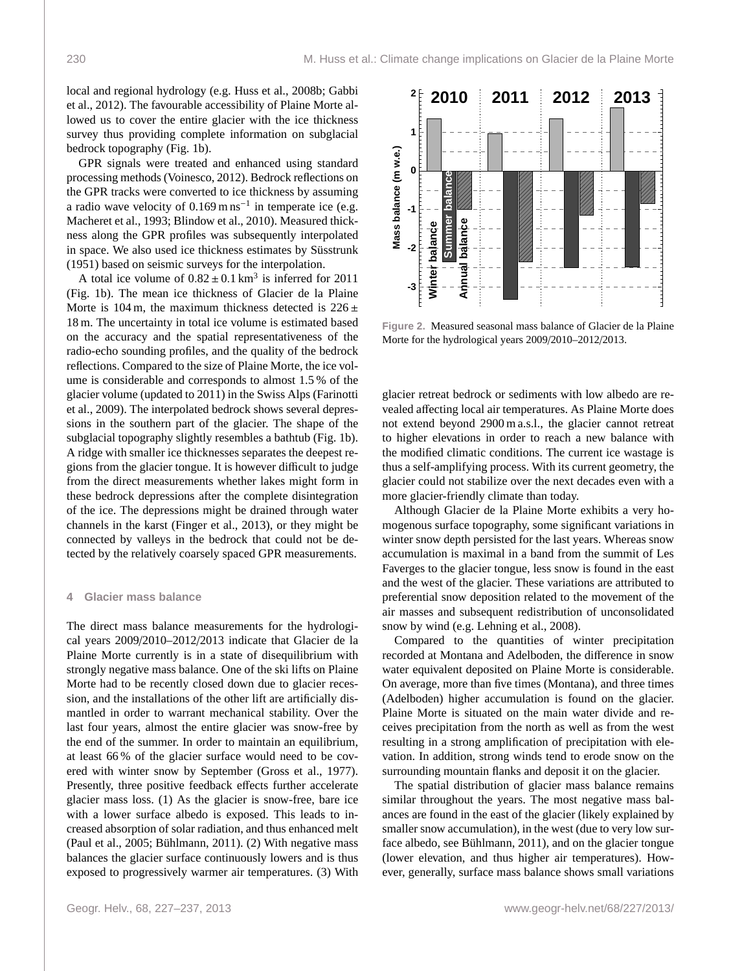local and regional hydrology (e.g. [Huss et al.,](#page-9-21) [2008b;](#page-9-21) [Gabbi](#page-9-22) [et al.,](#page-9-22) [2012\)](#page-9-22). The favourable accessibility of Plaine Morte allowed us to cover the entire glacier with the ice thickness survey thus providing complete information on subglacial bedrock topography (Fig. [1b](#page-2-0)).

GPR signals were treated and enhanced using standard processing methods [\(Voinesco,](#page-10-1) [2012\)](#page-10-1). Bedrock reflections on the GPR tracks were converted to ice thickness by assuming a radio wave velocity of  $0.169 \text{ m} \text{ ns}^{-1}$  in temperate ice (e.g. [Macheret et al.,](#page-9-19) [1993;](#page-9-19) [Blindow et al.,](#page-8-2) [2010\)](#page-8-2). Measured thickness along the GPR profiles was subsequently interpolated in space. We also used ice thickness estimates by [Süsstrunk](#page-9-12) [\(1951\)](#page-9-12) based on seismic surveys for the interpolation.

A total ice volume of  $0.82 \pm 0.1 \text{ km}^3$  is inferred for 2011<br>ig (b) The mean ice thickness of Glacier de la Plaine (Fig. [1b](#page-2-0)). The mean ice thickness of Glacier de la Plaine Morte is 104 m, the maximum thickness detected is  $226 \pm$ 18 m. The uncertainty in total ice volume is estimated based on the accuracy and the spatial representativeness of the radio-echo sounding profiles, and the quality of the bedrock reflections. Compared to the size of Plaine Morte, the ice volume is considerable and corresponds to almost 1.5 % of the glacier volume (updated to 2011) in the Swiss Alps [\(Farinotti](#page-9-23) [et al.,](#page-9-23) [2009\)](#page-9-23). The interpolated bedrock shows several depressions in the southern part of the glacier. The shape of the subglacial topography slightly resembles a bathtub (Fig. [1b](#page-2-0)). A ridge with smaller ice thicknesses separates the deepest regions from the glacier tongue. It is however difficult to judge from the direct measurements whether lakes might form in these bedrock depressions after the complete disintegration of the ice. The depressions might be drained through water channels in the karst [\(Finger et al.,](#page-9-8) [2013\)](#page-9-8), or they might be connected by valleys in the bedrock that could not be detected by the relatively coarsely spaced GPR measurements.

## **4 Glacier mass balance**

The direct mass balance measurements for the hydrological years 2009/2010–2012/2013 indicate that Glacier de la Plaine Morte currently is in a state of disequilibrium with strongly negative mass balance. One of the ski lifts on Plaine Morte had to be recently closed down due to glacier recession, and the installations of the other lift are artificially dismantled in order to warrant mechanical stability. Over the last four years, almost the entire glacier was snow-free by the end of the summer. In order to maintain an equilibrium, at least 66 % of the glacier surface would need to be covered with winter snow by September [\(Gross et al.,](#page-9-24) [1977\)](#page-9-24). Presently, three positive feedback effects further accelerate glacier mass loss. (1) As the glacier is snow-free, bare ice with a lower surface albedo is exposed. This leads to increased absorption of solar radiation, and thus enhanced melt [\(Paul et al.,](#page-9-17) [2005;](#page-9-17) [Bühlmann,](#page-9-18) [2011\)](#page-9-18). (2) With negative mass balances the glacier surface continuously lowers and is thus exposed to progressively warmer air temperatures. (3) With



<span id="page-3-0"></span>**Figure 2.** Measured seasonal mass balance of Glacier de la Plaine Morte for the hydrological years 2009/2010–2012/2013.

glacier retreat bedrock or sediments with low albedo are revealed affecting local air temperatures. As Plaine Morte does not extend beyond 2900 m a.s.l., the glacier cannot retreat to higher elevations in order to reach a new balance with the modified climatic conditions. The current ice wastage is thus a self-amplifying process. With its current geometry, the glacier could not stabilize over the next decades even with a more glacier-friendly climate than today.

Although Glacier de la Plaine Morte exhibits a very homogenous surface topography, some significant variations in winter snow depth persisted for the last years. Whereas snow accumulation is maximal in a band from the summit of Les Faverges to the glacier tongue, less snow is found in the east and the west of the glacier. These variations are attributed to preferential snow deposition related to the movement of the air masses and subsequent redistribution of unconsolidated snow by wind (e.g. [Lehning et al.,](#page-9-25) [2008\)](#page-9-25).

Compared to the quantities of winter precipitation recorded at Montana and Adelboden, the difference in snow water equivalent deposited on Plaine Morte is considerable. On average, more than five times (Montana), and three times (Adelboden) higher accumulation is found on the glacier. Plaine Morte is situated on the main water divide and receives precipitation from the north as well as from the west resulting in a strong amplification of precipitation with elevation. In addition, strong winds tend to erode snow on the surrounding mountain flanks and deposit it on the glacier.

The spatial distribution of glacier mass balance remains similar throughout the years. The most negative mass balances are found in the east of the glacier (likely explained by smaller snow accumulation), in the west (due to very low surface albedo, see [Bühlmann,](#page-9-18) [2011\)](#page-9-18), and on the glacier tongue (lower elevation, and thus higher air temperatures). However, generally, surface mass balance shows small variations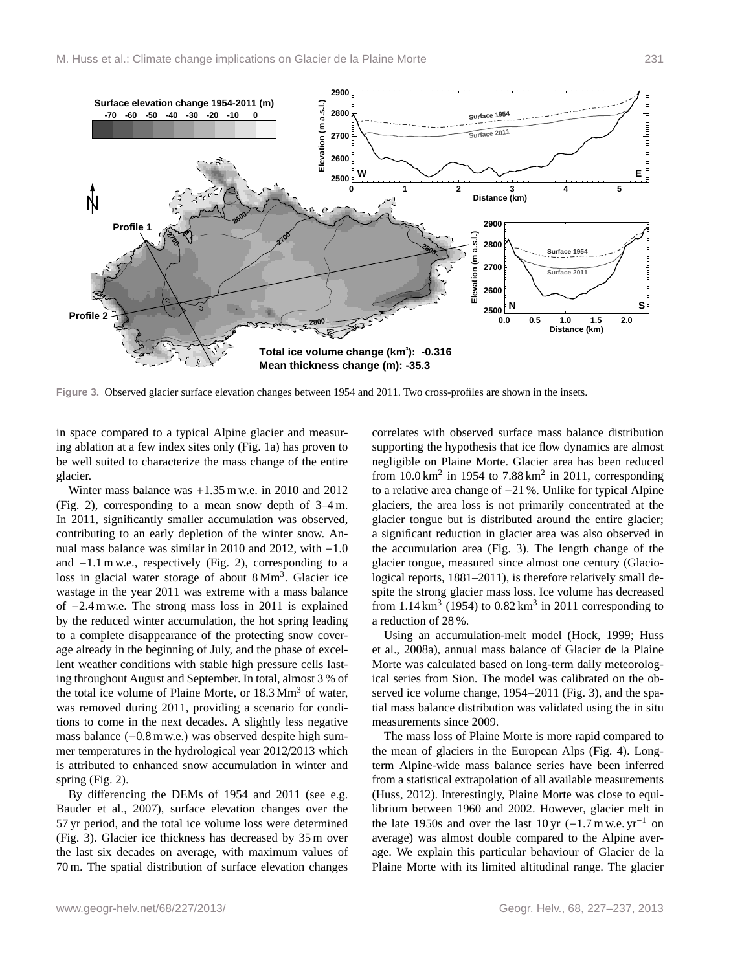

<span id="page-4-0"></span>**Figure 3.** Observed glacier surface elevation changes between 1954 and 2011. Two cross-profiles are shown in the insets.

in space compared to a typical Alpine glacier and measuring ablation at a few index sites only (Fig. [1a](#page-2-0)) has proven to be well suited to characterize the mass change of the entire glacier.

Winter mass balance was +1.35 m w.e. in 2010 and 2012 (Fig. [2\)](#page-3-0), corresponding to a mean snow depth of 3–4 m. In 2011, significantly smaller accumulation was observed, contributing to an early depletion of the winter snow. Annual mass balance was similar in 2010 and 2012, with −1.0 and −1.1 m w.e., respectively (Fig. [2\)](#page-3-0), corresponding to a loss in glacial water storage of about 8 Mm<sup>3</sup>. Glacier ice wastage in the year 2011 was extreme with a mass balance of −2.4 m w.e. The strong mass loss in 2011 is explained by the reduced winter accumulation, the hot spring leading to a complete disappearance of the protecting snow coverage already in the beginning of July, and the phase of excellent weather conditions with stable high pressure cells lasting throughout August and September. In total, almost 3 % of the total ice volume of Plaine Morte, or  $18.3 \text{ Mm}^3$  of water, was removed during 2011, providing a scenario for conditions to come in the next decades. A slightly less negative mass balance (−0.8 m w.e.) was observed despite high summer temperatures in the hydrological year 2012/2013 which is attributed to enhanced snow accumulation in winter and spring (Fig. [2\)](#page-3-0).

By differencing the DEMs of 1954 and 2011 (see e.g. [Bauder et al.,](#page-8-3) [2007\)](#page-8-3), surface elevation changes over the 57 yr period, and the total ice volume loss were determined (Fig. [3\)](#page-4-0). Glacier ice thickness has decreased by 35 m over the last six decades on average, with maximum values of 70 m. The spatial distribution of surface elevation changes

correlates with observed surface mass balance distribution supporting the hypothesis that ice flow dynamics are almost negligible on Plaine Morte. Glacier area has been reduced from  $10.0 \text{ km}^2$  in 1954 to 7.88 km<sup>2</sup> in 2011, corresponding to a relative area change of −21 %. Unlike for typical Alpine glaciers, the area loss is not primarily concentrated at the glacier tongue but is distributed around the entire glacier; a significant reduction in glacier area was also observed in the accumulation area (Fig. [3\)](#page-4-0). The length change of the glacier tongue, measured since almost one century [\(Glacio](#page-9-26)[logical reports,](#page-9-26)  $1881-2011$ ), is therefore relatively small despite the strong glacier mass loss. Ice volume has decreased from  $1.14 \text{ km}^3$  (1954) to  $0.82 \text{ km}^3$  in 2011 corresponding to a reduction of 28 %.

Using an accumulation-melt model [\(Hock,](#page-9-27) [1999;](#page-9-27) [Huss](#page-9-28) [et al.,](#page-9-28) [2008a\)](#page-9-28), annual mass balance of Glacier de la Plaine Morte was calculated based on long-term daily meteorological series from Sion. The model was calibrated on the observed ice volume change, 1954−2011 (Fig. [3\)](#page-4-0), and the spatial mass balance distribution was validated using the in situ measurements since 2009.

The mass loss of Plaine Morte is more rapid compared to the mean of glaciers in the European Alps (Fig. [4\)](#page-5-0). Longterm Alpine-wide mass balance series have been inferred from a statistical extrapolation of all available measurements [\(Huss,](#page-9-29) [2012\)](#page-9-29). Interestingly, Plaine Morte was close to equilibrium between 1960 and 2002. However, glacier melt in the late 1950s and over the last 10 yr  $(-1.7 \text{ m} \text{ w.e. yr}^{-1}$  on average) was almost double compared to the Alpine average. We explain this particular behaviour of Glacier de la Plaine Morte with its limited altitudinal range. The glacier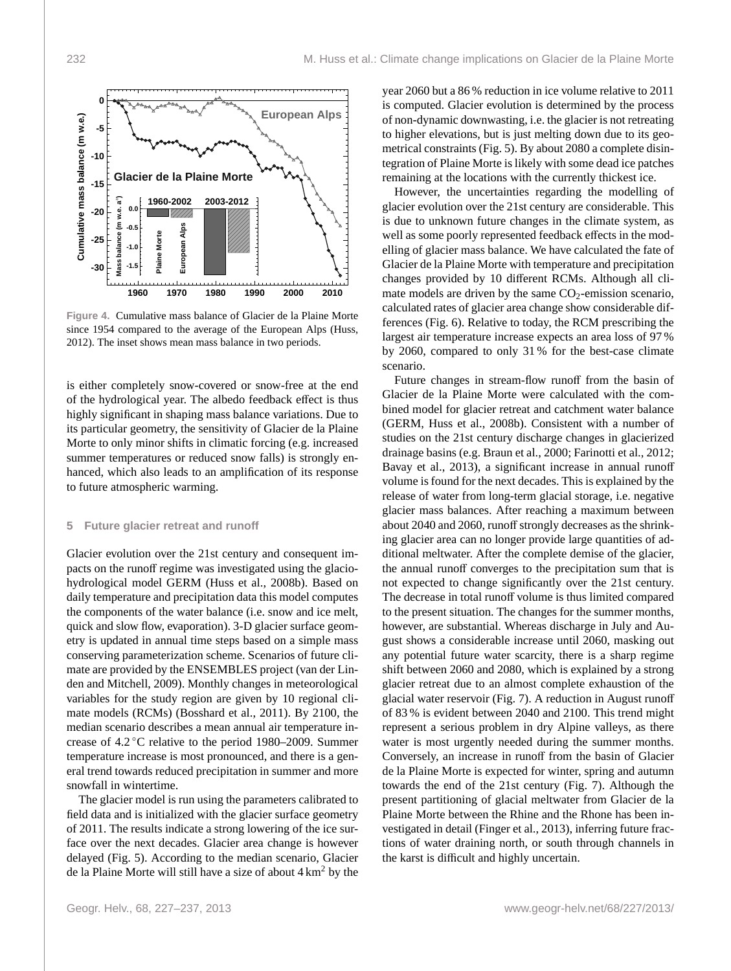

<span id="page-5-0"></span>**Figure 4.** Cumulative mass balance of Glacier de la Plaine Morte since 1954 compared to the average of the European Alps [\(Huss,](#page-9-29) [2012\)](#page-9-29). The inset shows mean mass balance in two periods.

is either completely snow-covered or snow-free at the end of the hydrological year. The albedo feedback effect is thus highly significant in shaping mass balance variations. Due to its particular geometry, the sensitivity of Glacier de la Plaine Morte to only minor shifts in climatic forcing (e.g. increased summer temperatures or reduced snow falls) is strongly enhanced, which also leads to an amplification of its response to future atmospheric warming.

#### **5 Future glacier retreat and runoff**

Glacier evolution over the 21st century and consequent impacts on the runoff regime was investigated using the glaciohydrological model GERM [\(Huss et al.,](#page-9-21) [2008b\)](#page-9-21). Based on daily temperature and precipitation data this model computes the components of the water balance (i.e. snow and ice melt, quick and slow flow, evaporation). 3-D glacier surface geometry is updated in annual time steps based on a simple mass conserving parameterization scheme. Scenarios of future climate are provided by the ENSEMBLES project [\(van der Lin](#page-10-2)[den and Mitchell,](#page-10-2) [2009\)](#page-10-2). Monthly changes in meteorological variables for the study region are given by 10 regional climate models (RCMs) [\(Bosshard et al.,](#page-8-4) [2011\)](#page-8-4). By 2100, the median scenario describes a mean annual air temperature increase of 4.2 ◦C relative to the period 1980–2009. Summer temperature increase is most pronounced, and there is a general trend towards reduced precipitation in summer and more snowfall in wintertime.

The glacier model is run using the parameters calibrated to field data and is initialized with the glacier surface geometry of 2011. The results indicate a strong lowering of the ice surface over the next decades. Glacier area change is however delayed (Fig. [5\)](#page-6-0). According to the median scenario, Glacier de la Plaine Morte will still have a size of about  $4 \text{ km}^2$  by the

year 2060 but a 86 % reduction in ice volume relative to 2011 is computed. Glacier evolution is determined by the process of non-dynamic downwasting, i.e. the glacier is not retreating to higher elevations, but is just melting down due to its geometrical constraints (Fig. [5\)](#page-6-0). By about 2080 a complete disintegration of Plaine Morte is likely with some dead ice patches remaining at the locations with the currently thickest ice.

However, the uncertainties regarding the modelling of glacier evolution over the 21st century are considerable. This is due to unknown future changes in the climate system, as well as some poorly represented feedback effects in the modelling of glacier mass balance. We have calculated the fate of Glacier de la Plaine Morte with temperature and precipitation changes provided by 10 different RCMs. Although all climate models are driven by the same  $CO<sub>2</sub>$ -emission scenario, calculated rates of glacier area change show considerable differences (Fig. [6\)](#page-6-1). Relative to today, the RCM prescribing the largest air temperature increase expects an area loss of 97 % by 2060, compared to only 31 % for the best-case climate scenario.

Future changes in stream-flow runoff from the basin of Glacier de la Plaine Morte were calculated with the combined model for glacier retreat and catchment water balance (GERM, [Huss et al.,](#page-9-21) [2008b\)](#page-9-21). Consistent with a number of studies on the 21st century discharge changes in glacierized drainage basins (e.g. [Braun et al.,](#page-9-30) [2000;](#page-9-30) [Farinotti et al.,](#page-9-31) [2012;](#page-9-31) [Bavay et al.,](#page-8-5) [2013\)](#page-8-5), a significant increase in annual runoff volume is found for the next decades. This is explained by the release of water from long-term glacial storage, i.e. negative glacier mass balances. After reaching a maximum between about 2040 and 2060, runoff strongly decreases as the shrinking glacier area can no longer provide large quantities of additional meltwater. After the complete demise of the glacier, the annual runoff converges to the precipitation sum that is not expected to change significantly over the 21st century. The decrease in total runoff volume is thus limited compared to the present situation. The changes for the summer months, however, are substantial. Whereas discharge in July and August shows a considerable increase until 2060, masking out any potential future water scarcity, there is a sharp regime shift between 2060 and 2080, which is explained by a strong glacier retreat due to an almost complete exhaustion of the glacial water reservoir (Fig. [7\)](#page-6-2). A reduction in August runoff of 83 % is evident between 2040 and 2100. This trend might represent a serious problem in dry Alpine valleys, as there water is most urgently needed during the summer months. Conversely, an increase in runoff from the basin of Glacier de la Plaine Morte is expected for winter, spring and autumn towards the end of the 21st century (Fig. [7\)](#page-6-2). Although the present partitioning of glacial meltwater from Glacier de la Plaine Morte between the Rhine and the Rhone has been investigated in detail [\(Finger et al.,](#page-9-8) [2013\)](#page-9-8), inferring future fractions of water draining north, or south through channels in the karst is difficult and highly uncertain.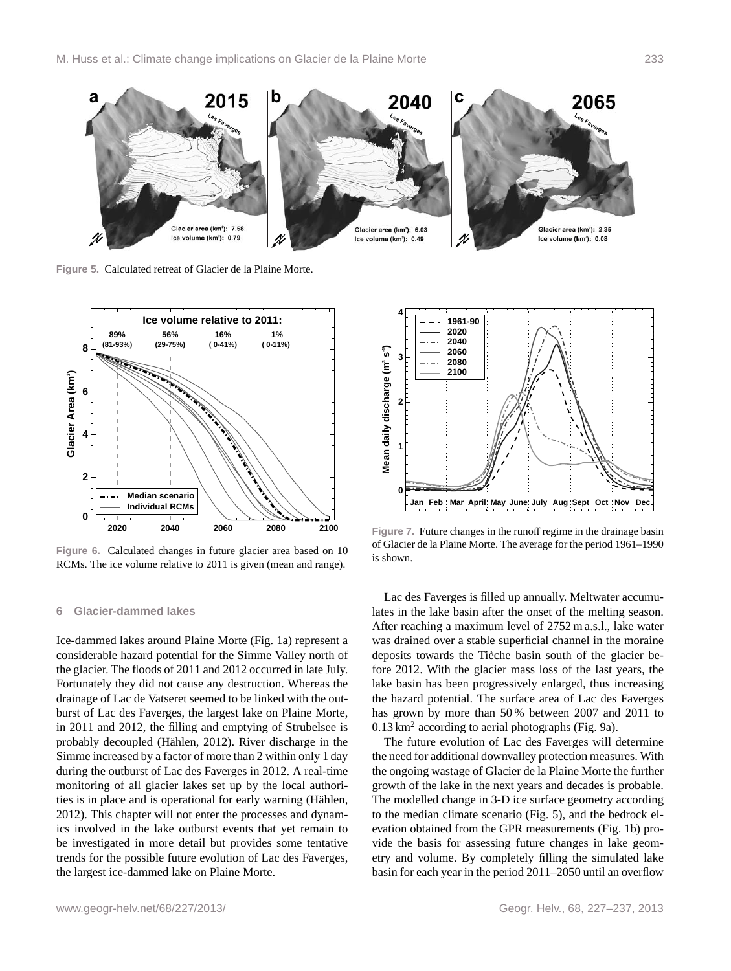

<span id="page-6-0"></span>**Figure 5.** Calculated retreat of Glacier de la Plaine Morte.



<span id="page-6-1"></span>**Figure 6.** Calculated changes in future glacier area based on 10 RCMs. The ice volume relative to 2011 is given (mean and range).

#### **6 Glacier-dammed lakes**

Ice-dammed lakes around Plaine Morte (Fig. [1a](#page-2-0)) represent a considerable hazard potential for the Simme Valley north of the glacier. The floods of 2011 and 2012 occurred in late July. Fortunately they did not cause any destruction. Whereas the drainage of Lac de Vatseret seemed to be linked with the outburst of Lac des Faverges, the largest lake on Plaine Morte, in 2011 and 2012, the filling and emptying of Strubelsee is probably decoupled [\(Hählen,](#page-9-11) [2012\)](#page-9-11). River discharge in the Simme increased by a factor of more than 2 within only 1 day during the outburst of Lac des Faverges in 2012. A real-time monitoring of all glacier lakes set up by the local authorities is in place and is operational for early warning [\(Hählen,](#page-9-11) [2012\)](#page-9-11). This chapter will not enter the processes and dynamics involved in the lake outburst events that yet remain to be investigated in more detail but provides some tentative trends for the possible future evolution of Lac des Faverges, the largest ice-dammed lake on Plaine Morte.



<span id="page-6-2"></span>**Figure 7.** Future changes in the runoff regime in the drainage basin of Glacier de la Plaine Morte. The average for the period 1961–1990 is shown.

Lac des Faverges is filled up annually. Meltwater accumulates in the lake basin after the onset of the melting season. After reaching a maximum level of 2752 m a.s.l., lake water was drained over a stable superficial channel in the moraine deposits towards the Tièche basin south of the glacier before 2012. With the glacier mass loss of the last years, the lake basin has been progressively enlarged, thus increasing the hazard potential. The surface area of Lac des Faverges has grown by more than 50 % between 2007 and 2011 to  $0.13 \text{ km}^2$  according to aerial photographs (Fig. [9a](#page-8-6)).

The future evolution of Lac des Faverges will determine the need for additional downvalley protection measures. With the ongoing wastage of Glacier de la Plaine Morte the further growth of the lake in the next years and decades is probable. The modelled change in 3-D ice surface geometry according to the median climate scenario (Fig. [5\)](#page-6-0), and the bedrock elevation obtained from the GPR measurements (Fig. [1b](#page-2-0)) provide the basis for assessing future changes in lake geometry and volume. By completely filling the simulated lake basin for each year in the period 2011–2050 until an overflow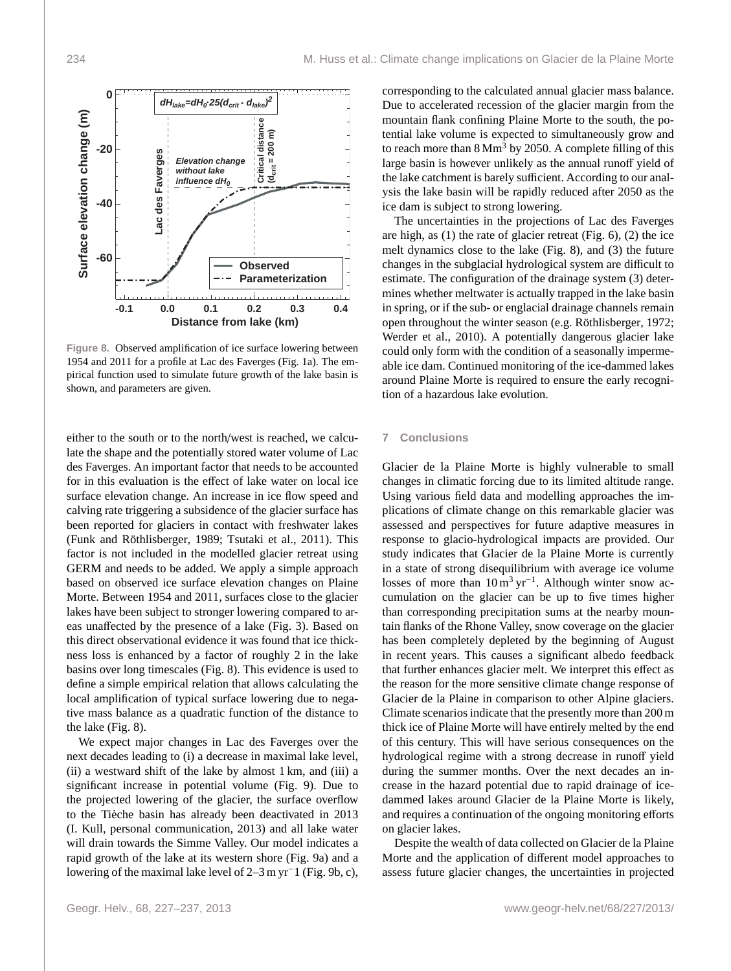

<span id="page-7-0"></span>**Figure 8.** Observed amplification of ice surface lowering between 1954 and 2011 for a profile at Lac des Faverges (Fig. [1a](#page-2-0)). The empirical function used to simulate future growth of the lake basin is shown, and parameters are given.

either to the south or to the north/west is reached, we calculate the shape and the potentially stored water volume of Lac des Faverges. An important factor that needs to be accounted for in this evaluation is the effect of lake water on local ice surface elevation change. An increase in ice flow speed and calving rate triggering a subsidence of the glacier surface has been reported for glaciers in contact with freshwater lakes [\(Funk and Röthlisberger,](#page-9-32) [1989;](#page-9-32) [Tsutaki et al.,](#page-10-3) [2011\)](#page-10-3). This factor is not included in the modelled glacier retreat using GERM and needs to be added. We apply a simple approach based on observed ice surface elevation changes on Plaine Morte. Between 1954 and 2011, surfaces close to the glacier lakes have been subject to stronger lowering compared to areas unaffected by the presence of a lake (Fig. [3\)](#page-4-0). Based on this direct observational evidence it was found that ice thickness loss is enhanced by a factor of roughly 2 in the lake basins over long timescales (Fig. [8\)](#page-7-0). This evidence is used to define a simple empirical relation that allows calculating the local amplification of typical surface lowering due to negative mass balance as a quadratic function of the distance to the lake (Fig. [8\)](#page-7-0).

We expect major changes in Lac des Faverges over the next decades leading to (i) a decrease in maximal lake level, (ii) a westward shift of the lake by almost 1 km, and (iii) a significant increase in potential volume (Fig. [9\)](#page-8-6). Due to the projected lowering of the glacier, the surface overflow to the Tièche basin has already been deactivated in 2013 (I. Kull, personal communication, 2013) and all lake water will drain towards the Simme Valley. Our model indicates a rapid growth of the lake at its western shore (Fig. [9a](#page-8-6)) and a lowering of the maximal lake level of 2–3 m yr<sup>−</sup>1 (Fig. [9b](#page-8-6), c),

corresponding to the calculated annual glacier mass balance. Due to accelerated recession of the glacier margin from the mountain flank confining Plaine Morte to the south, the potential lake volume is expected to simultaneously grow and to reach more than  $8 \text{ Mm}^3$  by 2050. A complete filling of this large basin is however unlikely as the annual runoff yield of the lake catchment is barely sufficient. According to our analysis the lake basin will be rapidly reduced after 2050 as the ice dam is subject to strong lowering.

The uncertainties in the projections of Lac des Faverges are high, as (1) the rate of glacier retreat (Fig. [6\)](#page-6-1), (2) the ice melt dynamics close to the lake (Fig. [8\)](#page-7-0), and (3) the future changes in the subglacial hydrological system are difficult to estimate. The configuration of the drainage system (3) determines whether meltwater is actually trapped in the lake basin in spring, or if the sub- or englacial drainage channels remain open throughout the winter season (e.g. [Röthlisberger,](#page-9-33) [1972;](#page-9-33) [Werder et al.,](#page-10-4) [2010\)](#page-10-4). A potentially dangerous glacier lake could only form with the condition of a seasonally impermeable ice dam. Continued monitoring of the ice-dammed lakes around Plaine Morte is required to ensure the early recognition of a hazardous lake evolution.

### **7 Conclusions**

Glacier de la Plaine Morte is highly vulnerable to small changes in climatic forcing due to its limited altitude range. Using various field data and modelling approaches the implications of climate change on this remarkable glacier was assessed and perspectives for future adaptive measures in response to glacio-hydrological impacts are provided. Our study indicates that Glacier de la Plaine Morte is currently in a state of strong disequilibrium with average ice volume losses of more than  $10 \text{ m}^3 \text{ yr}^{-1}$ . Although winter snow accumulation on the glacier can be up to five times higher than corresponding precipitation sums at the nearby mountain flanks of the Rhone Valley, snow coverage on the glacier has been completely depleted by the beginning of August in recent years. This causes a significant albedo feedback that further enhances glacier melt. We interpret this effect as the reason for the more sensitive climate change response of Glacier de la Plaine in comparison to other Alpine glaciers. Climate scenarios indicate that the presently more than 200 m thick ice of Plaine Morte will have entirely melted by the end of this century. This will have serious consequences on the hydrological regime with a strong decrease in runoff yield during the summer months. Over the next decades an increase in the hazard potential due to rapid drainage of icedammed lakes around Glacier de la Plaine Morte is likely, and requires a continuation of the ongoing monitoring efforts on glacier lakes.

Despite the wealth of data collected on Glacier de la Plaine Morte and the application of different model approaches to assess future glacier changes, the uncertainties in projected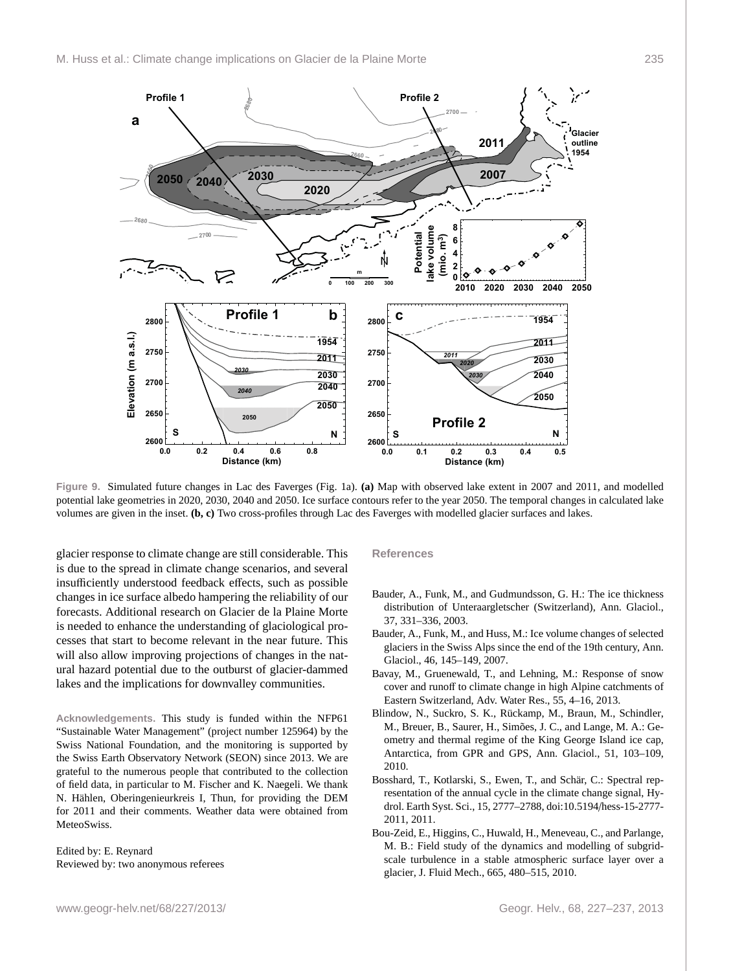

<span id="page-8-6"></span>**Figure 9.** Simulated future changes in Lac des Faverges (Fig. [1a](#page-2-0)). **(a)** Map with observed lake extent in 2007 and 2011, and modelled potential lake geometries in 2020, 2030, 2040 and 2050. Ice surface contours refer to the year 2050. The temporal changes in calculated lake volumes are given in the inset. **(b, c)** Two cross-profiles through Lac des Faverges with modelled glacier surfaces and lakes.

glacier response to climate change are still considerable. This is due to the spread in climate change scenarios, and several insufficiently understood feedback effects, such as possible changes in ice surface albedo hampering the reliability of our forecasts. Additional research on Glacier de la Plaine Morte is needed to enhance the understanding of glaciological processes that start to become relevant in the near future. This will also allow improving projections of changes in the natural hazard potential due to the outburst of glacier-dammed lakes and the implications for downvalley communities.

**Acknowledgements.** This study is funded within the NFP61 "Sustainable Water Management" (project number 125964) by the Swiss National Foundation, and the monitoring is supported by the Swiss Earth Observatory Network (SEON) since 2013. We are grateful to the numerous people that contributed to the collection of field data, in particular to M. Fischer and K. Naegeli. We thank N. Hählen, Oberingenieurkreis I, Thun, for providing the DEM for 2011 and their comments. Weather data were obtained from MeteoSwiss.

Edited by: E. Reynard Reviewed by: two anonymous referees

#### **References**

- <span id="page-8-1"></span>Bauder, A., Funk, M., and Gudmundsson, G. H.: The ice thickness distribution of Unteraargletscher (Switzerland), Ann. Glaciol., 37, 331–336, 2003.
- <span id="page-8-3"></span>Bauder, A., Funk, M., and Huss, M.: Ice volume changes of selected glaciers in the Swiss Alps since the end of the 19th century, Ann. Glaciol., 46, 145–149, 2007.
- <span id="page-8-5"></span>Bavay, M., Gruenewald, T., and Lehning, M.: Response of snow cover and runoff to climate change in high Alpine catchments of Eastern Switzerland, Adv. Water Res., 55, 4–16, 2013.
- <span id="page-8-2"></span>Blindow, N., Suckro, S. K., Rückamp, M., Braun, M., Schindler, M., Breuer, B., Saurer, H., Simões, J. C., and Lange, M. A.: Geometry and thermal regime of the King George Island ice cap, Antarctica, from GPR and GPS, Ann. Glaciol., 51, 103–109, 2010.
- <span id="page-8-4"></span>Bosshard, T., Kotlarski, S., Ewen, T., and Schär, C.: Spectral representation of the annual cycle in the climate change signal, Hydrol. Earth Syst. Sci., 15, 2777–2788, doi:10.5194/[hess-15-2777-](http://dx.doi.org/10.5194/hess-15-2777-2011) [2011,](http://dx.doi.org/10.5194/hess-15-2777-2011) 2011.
- <span id="page-8-0"></span>Bou-Zeid, E., Higgins, C., Huwald, H., Meneveau, C., and Parlange, M. B.: Field study of the dynamics and modelling of subgridscale turbulence in a stable atmospheric surface layer over a glacier, J. Fluid Mech., 665, 480–515, 2010.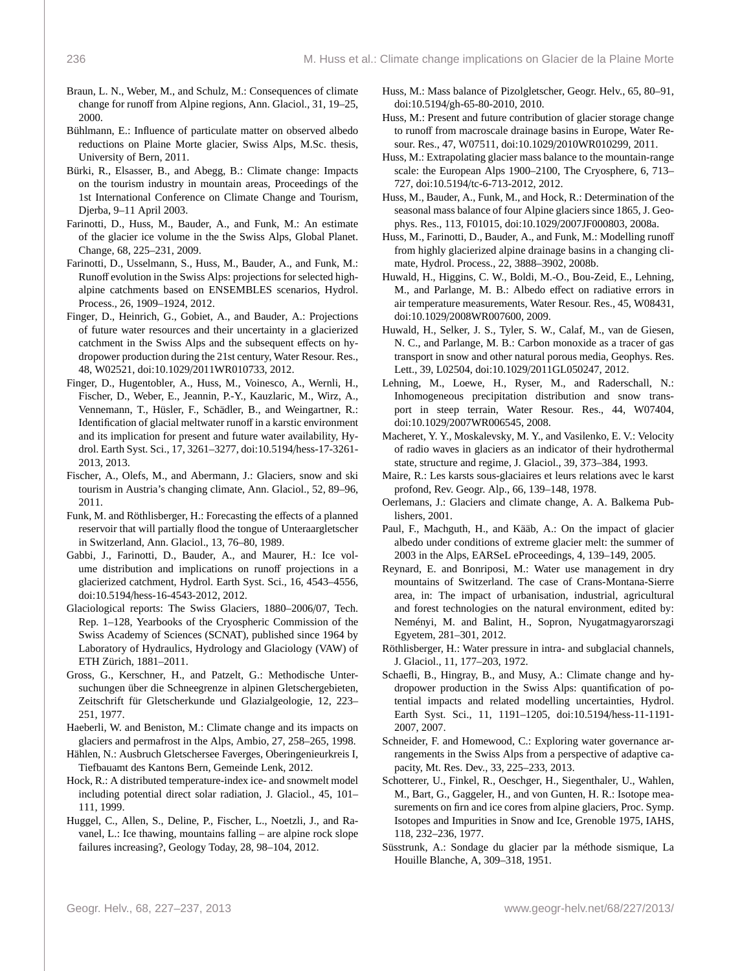- <span id="page-9-30"></span>Braun, L. N., Weber, M., and Schulz, M.: Consequences of climate change for runoff from Alpine regions, Ann. Glaciol., 31, 19–25, 2000.
- <span id="page-9-18"></span>Bühlmann, E.: Influence of particulate matter on observed albedo reductions on Plaine Morte glacier, Swiss Alps, M.Sc. thesis, University of Bern, 2011.
- <span id="page-9-6"></span>Bürki, R., Elsasser, B., and Abegg, B.: Climate change: Impacts on the tourism industry in mountain areas, Proceedings of the 1st International Conference on Climate Change and Tourism, Djerba, 9–11 April 2003.
- <span id="page-9-23"></span>Farinotti, D., Huss, M., Bauder, A., and Funk, M.: An estimate of the glacier ice volume in the the Swiss Alps, Global Planet. Change, 68, 225–231, 2009.
- <span id="page-9-31"></span>Farinotti, D., Usselmann, S., Huss, M., Bauder, A., and Funk, M.: Runoff evolution in the Swiss Alps: projections for selected highalpine catchments based on ENSEMBLES scenarios, Hydrol. Process., 26, 1909–1924, 2012.
- <span id="page-9-3"></span>Finger, D., Heinrich, G., Gobiet, A., and Bauder, A.: Projections of future water resources and their uncertainty in a glacierized catchment in the Swiss Alps and the subsequent effects on hydropower production during the 21st century, Water Resour. Res., 48, W02521, doi:10.1029/[2011WR010733,](http://dx.doi.org/10.1029/2011WR010733) 2012.
- <span id="page-9-8"></span>Finger, D., Hugentobler, A., Huss, M., Voinesco, A., Wernli, H., Fischer, D., Weber, E., Jeannin, P.-Y., Kauzlaric, M., Wirz, A., Vennemann, T., Hüsler, F., Schädler, B., and Weingartner, R.: Identification of glacial meltwater runoff in a karstic environment and its implication for present and future water availability, Hydrol. Earth Syst. Sci., 17, 3261–3277, doi:10.5194/[hess-17-3261-](http://dx.doi.org/10.5194/hess-17-3261-2013) [2013,](http://dx.doi.org/10.5194/hess-17-3261-2013) 2013.
- <span id="page-9-7"></span>Fischer, A., Olefs, M., and Abermann, J.: Glaciers, snow and ski tourism in Austria's changing climate, Ann. Glaciol., 52, 89–96, 2011.
- <span id="page-9-32"></span>Funk, M. and Röthlisberger, H.: Forecasting the effects of a planned reservoir that will partially flood the tongue of Unteraargletscher in Switzerland, Ann. Glaciol., 13, 76–80, 1989.
- <span id="page-9-22"></span>Gabbi, J., Farinotti, D., Bauder, A., and Maurer, H.: Ice volume distribution and implications on runoff projections in a glacierized catchment, Hydrol. Earth Syst. Sci., 16, 4543–4556, doi:10.5194/[hess-16-4543-2012,](http://dx.doi.org/10.5194/hess-16-4543-2012) 2012.
- <span id="page-9-26"></span>Glaciological reports: The Swiss Glaciers, 1880–2006/07, Tech. Rep. 1–128, Yearbooks of the Cryospheric Commission of the Swiss Academy of Sciences (SCNAT), published since 1964 by Laboratory of Hydraulics, Hydrology and Glaciology (VAW) of ETH Zürich, 1881–2011.
- <span id="page-9-24"></span>Gross, G., Kerschner, H., and Patzelt, G.: Methodische Untersuchungen über die Schneegrenze in alpinen Gletschergebieten, Zeitschrift für Gletscherkunde und Glazialgeologie, 12, 223– 251, 1977.
- <span id="page-9-0"></span>Haeberli, W. and Beniston, M.: Climate change and its impacts on glaciers and permafrost in the Alps, Ambio, 27, 258–265, 1998.
- <span id="page-9-11"></span>Hählen, N.: Ausbruch Gletschersee Faverges, Oberingenieurkreis I, Tiefbauamt des Kantons Bern, Gemeinde Lenk, 2012.
- <span id="page-9-27"></span>Hock, R.: A distributed temperature-index ice- and snowmelt model including potential direct solar radiation, J. Glaciol., 45, 101– 111, 1999.
- <span id="page-9-5"></span>Huggel, C., Allen, S., Deline, P., Fischer, L., Noetzli, J., and Ravanel, L.: Ice thawing, mountains falling – are alpine rock slope failures increasing?, Geology Today, 28, 98–104, 2012.
- <span id="page-9-20"></span>Huss, M.: Mass balance of Pizolgletscher, Geogr. Helv., 65, 80–91, doi:10.5194/[gh-65-80-2010,](http://dx.doi.org/10.5194/gh-65-80-2010) 2010.
- <span id="page-9-2"></span>Huss, M.: Present and future contribution of glacier storage change to runoff from macroscale drainage basins in Europe, Water Resour. Res., 47, W07511, doi:10.1029/[2010WR010299,](http://dx.doi.org/10.1029/2010WR010299) 2011.
- <span id="page-9-29"></span>Huss, M.: Extrapolating glacier mass balance to the mountain-range scale: the European Alps 1900–2100, The Cryosphere, 6, 713– 727, doi:10.5194/[tc-6-713-2012,](http://dx.doi.org/10.5194/tc-6-713-2012) 2012.
- <span id="page-9-28"></span>Huss, M., Bauder, A., Funk, M., and Hock, R.: Determination of the seasonal mass balance of four Alpine glaciers since 1865, J. Geophys. Res., 113, F01015, doi:10.1029/[2007JF000803,](http://dx.doi.org/10.1029/2007JF000803) 2008a.
- <span id="page-9-21"></span>Huss, M., Farinotti, D., Bauder, A., and Funk, M.: Modelling runoff from highly glacierized alpine drainage basins in a changing climate, Hydrol. Process., 22, 3888–3902, 2008b.
- <span id="page-9-15"></span>Huwald, H., Higgins, C. W., Boldi, M.-O., Bou-Zeid, E., Lehning, M., and Parlange, M. B.: Albedo effect on radiative errors in air temperature measurements, Water Resour. Res., 45, W08431, doi:10.1029/[2008WR007600,](http://dx.doi.org/10.1029/2008WR007600) 2009.
- <span id="page-9-16"></span>Huwald, H., Selker, J. S., Tyler, S. W., Calaf, M., van de Giesen, N. C., and Parlange, M. B.: Carbon monoxide as a tracer of gas transport in snow and other natural porous media, Geophys. Res. Lett., 39, L02504, doi:10.1029/[2011GL050247,](http://dx.doi.org/10.1029/2011GL050247) 2012.
- <span id="page-9-25"></span>Lehning, M., Loewe, H., Ryser, M., and Raderschall, N.: Inhomogeneous precipitation distribution and snow transport in steep terrain, Water Resour. Res., 44, W07404, doi:10.1029/[2007WR006545,](http://dx.doi.org/10.1029/2007WR006545) 2008.
- <span id="page-9-19"></span>Macheret, Y. Y., Moskalevsky, M. Y., and Vasilenko, E. V.: Velocity of radio waves in glaciers as an indicator of their hydrothermal state, structure and regime, J. Glaciol., 39, 373–384, 1993.
- <span id="page-9-14"></span>Maire, R.: Les karsts sous-glaciaires et leurs relations avec le karst profond, Rev. Geogr. Alp., 66, 139–148, 1978.
- <span id="page-9-1"></span>Oerlemans, J.: Glaciers and climate change, A. A. Balkema Publishers, 2001.
- <span id="page-9-17"></span>Paul, F., Machguth, H., and Kääb, A.: On the impact of glacier albedo under conditions of extreme glacier melt: the summer of 2003 in the Alps, EARSeL eProceedings, 4, 139–149, 2005.
- <span id="page-9-10"></span>Reynard, E. and Bonriposi, M.: Water use management in dry mountains of Switzerland. The case of Crans-Montana-Sierre area, in: The impact of urbanisation, industrial, agricultural and forest technologies on the natural environment, edited by: Neményi, M. and Balint, H., Sopron, Nyugatmagyarorszagi Egyetem, 281–301, 2012.
- <span id="page-9-33"></span>Röthlisberger, H.: Water pressure in intra- and subglacial channels, J. Glaciol., 11, 177–203, 1972.
- <span id="page-9-4"></span>Schaefli, B., Hingray, B., and Musy, A.: Climate change and hydropower production in the Swiss Alps: quantification of potential impacts and related modelling uncertainties, Hydrol. Earth Syst. Sci., 11, 1191–1205, doi:10.5194/[hess-11-1191-](http://dx.doi.org/10.5194/hess-11-1191-2007) [2007,](http://dx.doi.org/10.5194/hess-11-1191-2007) 2007.
- <span id="page-9-9"></span>Schneider, F. and Homewood, C.: Exploring water governance arrangements in the Swiss Alps from a perspective of adaptive capacity, Mt. Res. Dev., 33, 225–233, 2013.
- <span id="page-9-13"></span>Schotterer, U., Finkel, R., Oeschger, H., Siegenthaler, U., Wahlen, M., Bart, G., Gaggeler, H., and von Gunten, H. R.: Isotope measurements on firn and ice cores from alpine glaciers, Proc. Symp. Isotopes and Impurities in Snow and Ice, Grenoble 1975, IAHS, 118, 232–236, 1977.
- <span id="page-9-12"></span>Süsstrunk, A.: Sondage du glacier par la méthode sismique, La Houille Blanche, A, 309–318, 1951.